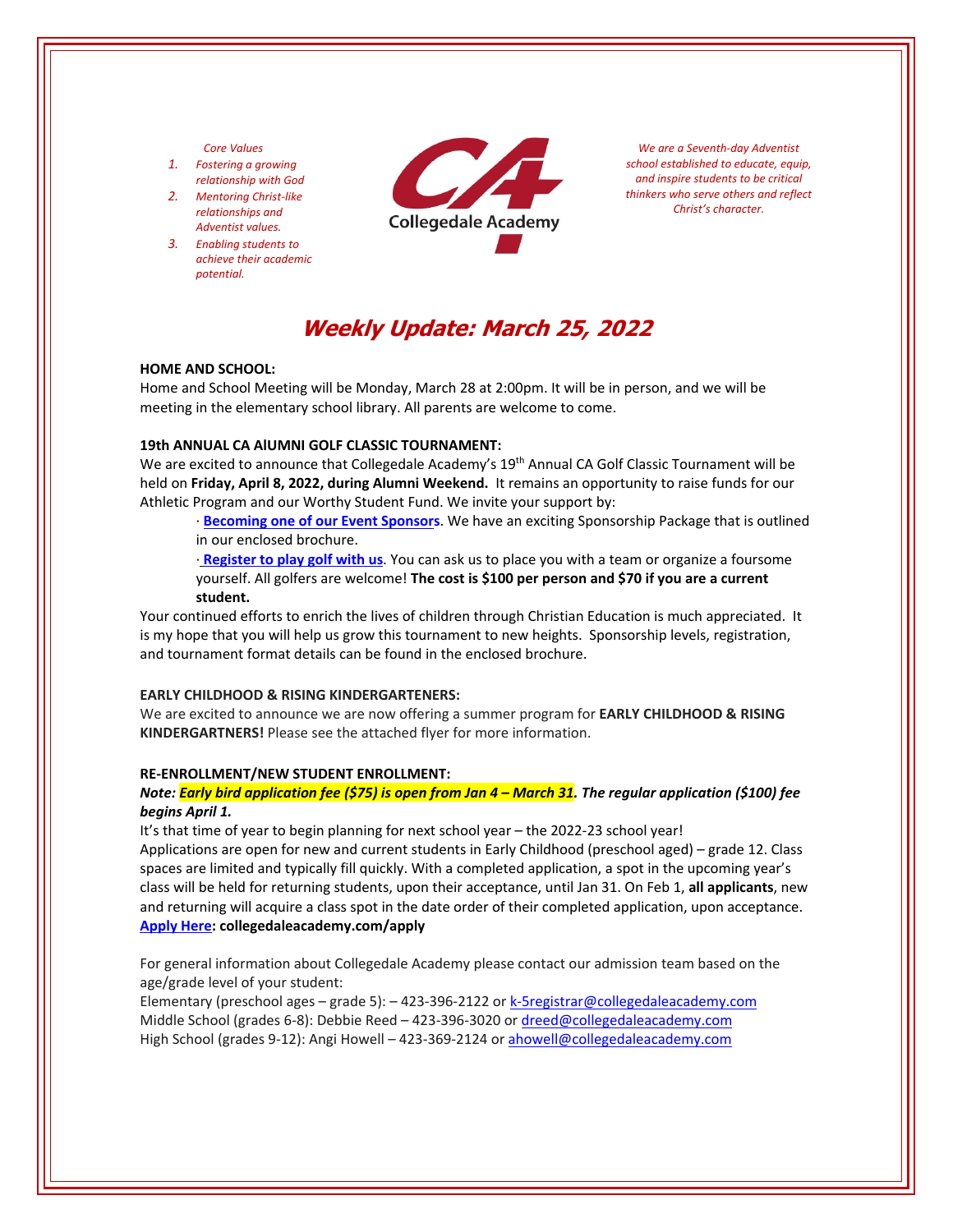#### *Core Values*

- *1. Fostering a growing relationship with God*
- *2. Mentoring Christ‐like relationships and Adventist values.*
- *3. Enabling students to achieve their academic potential.*



*We are a Seventh‐day Adventist school established to educate, equip, and inspire students to be critical thinkers who serve others and reflect Christ's character.*

# **Weekly Update: March 25, 2022**

#### **HOME AND SCHOOL:**

Home and School Meeting will be Monday, March 28 at 2:00pm. It will be in person, and we will be meeting in the elementary school library. All parents are welcome to come.

## **19th ANNUAL CA AlUMNI GOLF CLASSIC TOURNAMENT:**

We are excited to announce that Collegedale Academy's 19<sup>th</sup> Annual CA Golf Classic Tournament will be held on **Friday, April 8, 2022, during Alumni Weekend.** It remains an opportunity to raise funds for our Athletic Program and our Worthy Student Fund. We invite your support by:

∙ **[Becoming](https://crm.bloomerang.co/HostedDonation?ApiKey=pub_250e15cb-6f93-11e6-9d49-0a1b37ae639f&WidgetId=17985536) one of our Event Sponsors**. We have an exciting Sponsorship Package that is outlined in our enclosed brochure.

∙ **[Register](https://crm.bloomerang.co/HostedDonation?ApiKey=pub_250e15cb-6f93-11e6-9d49-0a1b37ae639f&WidgetId=17985536) to play golf with us**. You can ask us to place you with a team or organize a foursome yourself. All golfers are welcome! **The cost is \$100 per person and \$70 if you are a current student.** 

Your continued efforts to enrich the lives of children through Christian Education is much appreciated. It is my hope that you will help us grow this tournament to new heights. Sponsorship levels, registration, and tournament format details can be found in the enclosed brochure.

## **EARLY CHILDHOOD & RISING KINDERGARTENERS:**

We are excited to announce we are now offering a summer program for **EARLY CHILDHOOD & RISING KINDERGARTNERS!** Please see the attached flyer for more information.

#### **RE‐ENROLLMENT/NEW STUDENT ENROLLMENT:**

## Note: <mark>Early bird application fee (\$75) is open from Jan 4 – March 31</mark>. The regular application (\$100) fee *begins April 1.*

It's that time of year to begin planning for next school year – the 2022-23 school year! Applications are open for new and current students in Early Childhood (preschool aged) – grade 12. Class spaces are limited and typically fill quickly. With a completed application, a spot in the upcoming year's class will be held for returning students, upon their acceptance, until Jan 31. On Feb 1, **all applicants**, new and returning will acquire a class spot in the date order of their completed application, upon acceptance. **[Apply](collegedaleacademy.com/apply) Here: collegedaleacademy.com/apply**

For general information about Collegedale Academy please contact our admission team based on the age/grade level of your student:

Elementary (preschool ages – grade 5): – 423-396-2122 or k-5registrar@collegedaleacademy.com Middle School (grades 6‐8): Debbie Reed – 423‐396‐3020 or dreed@collegedaleacademy.com High School (grades 9‐12): Angi Howell – 423‐369‐2124 or ahowell@collegedaleacademy.com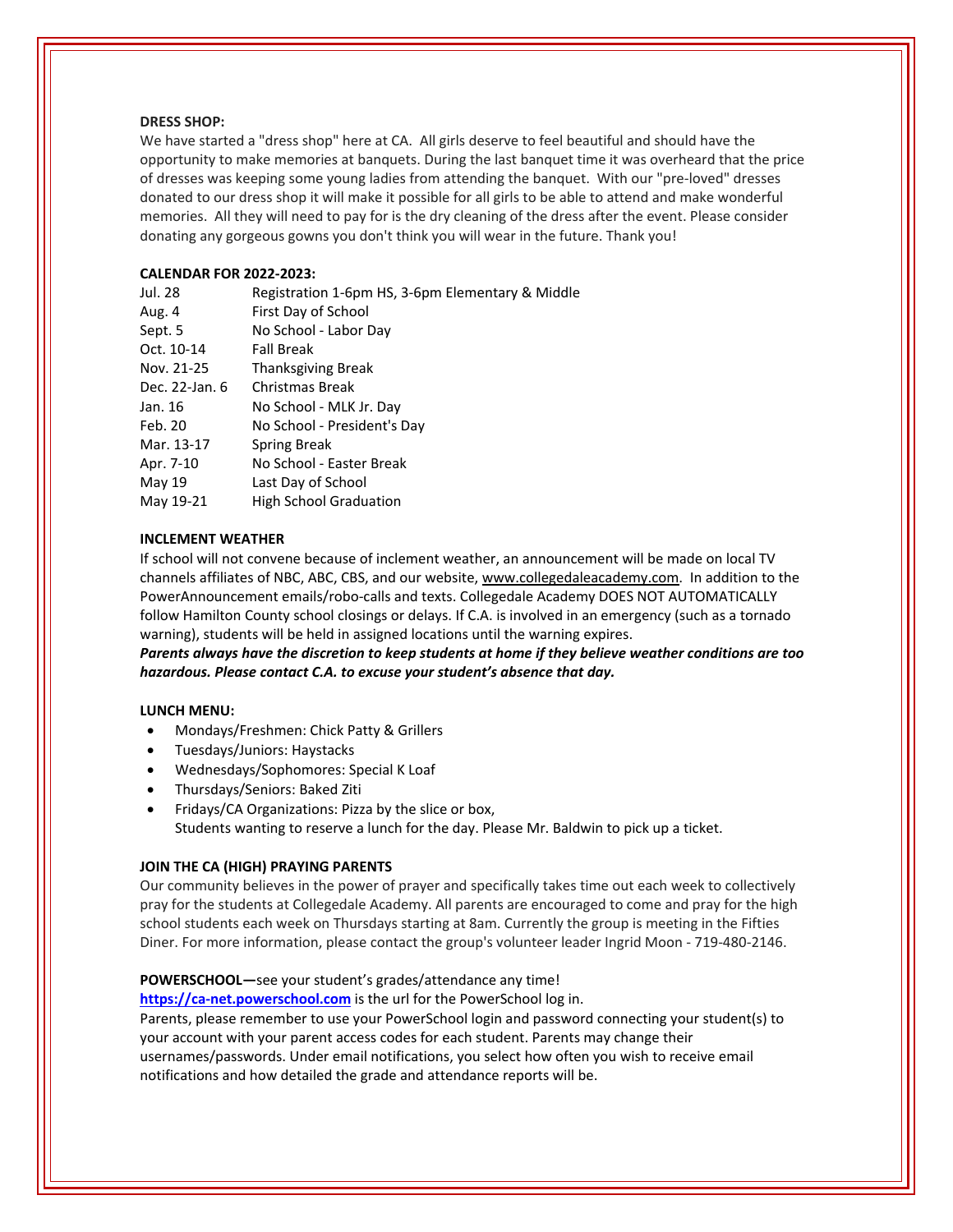#### **DRESS SHOP:**

We have started a "dress shop" here at CA. All girls deserve to feel beautiful and should have the opportunity to make memories at banquets. During the last banquet time it was overheard that the price of dresses was keeping some young ladies from attending the banquet. With our "pre‐loved" dresses donated to our dress shop it will make it possible for all girls to be able to attend and make wonderful memories. All they will need to pay for is the dry cleaning of the dress after the event. Please consider donating any gorgeous gowns you don't think you will wear in the future. Thank you!

## **CALENDAR FOR 2022‐2023:**

| Jul. 28        | Registration 1-6pm HS, 3-6pm Elementary & Middle |
|----------------|--------------------------------------------------|
| Aug. 4         | First Day of School                              |
| Sept. 5        | No School - Labor Day                            |
| Oct. 10-14     | <b>Fall Break</b>                                |
| Nov. 21-25     | <b>Thanksgiving Break</b>                        |
| Dec. 22-Jan. 6 | Christmas Break                                  |
| Jan. 16        | No School - MLK Jr. Day                          |
| Feb. 20        | No School - President's Day                      |
| Mar. 13-17     | Spring Break                                     |
| Apr. 7-10      | No School - Easter Break                         |
| May 19         | Last Day of School                               |
| May 19-21      | <b>High School Graduation</b>                    |

## **INCLEMENT WEATHER**

If school will not convene because of inclement weather, an announcement will be made on local TV channels affiliates of NBC, ABC, CBS, and our website, www.collegedaleacademy.com. In addition to the PowerAnnouncement emails/robo‐calls and texts. Collegedale Academy DOES NOT AUTOMATICALLY follow Hamilton County school closings or delays. If C.A. is involved in an emergency (such as a tornado warning), students will be held in assigned locations until the warning expires.

*Parents always have the discretion to keep students at home if they believe weather conditions are too hazardous. Please contact C.A. to excuse your student's absence that day.*

### **LUNCH MENU:**

- Mondays/Freshmen: Chick Patty & Grillers
- Tuesdays/Juniors: Haystacks
- Wednesdays/Sophomores: Special K Loaf
- Thursdays/Seniors: Baked Ziti
- Fridays/CA Organizations: Pizza by the slice or box, Students wanting to reserve a lunch for the day. Please Mr. Baldwin to pick up a ticket.

#### **JOIN THE CA (HIGH) PRAYING PARENTS**

Our community believes in the power of prayer and specifically takes time out each week to collectively pray for the students at Collegedale Academy. All parents are encouraged to come and pray for the high school students each week on Thursdays starting at 8am. Currently the group is meeting in the Fifties Diner. For more information, please contact the group's volunteer leader Ingrid Moon ‐ 719‐480‐2146.

**POWERSCHOOL—**see your student's grades/attendance any time!

https://ca-[net.powerschool.com](https://ca-net.powerschool.com/public/) is the url for the PowerSchool log in. Parents, please remember to use your PowerSchool login and password connecting your student(s) to your account with your parent access codes for each student. Parents may change their usernames/passwords. Under email notifications, you select how often you wish to receive email notifications and how detailed the grade and attendance reports will be.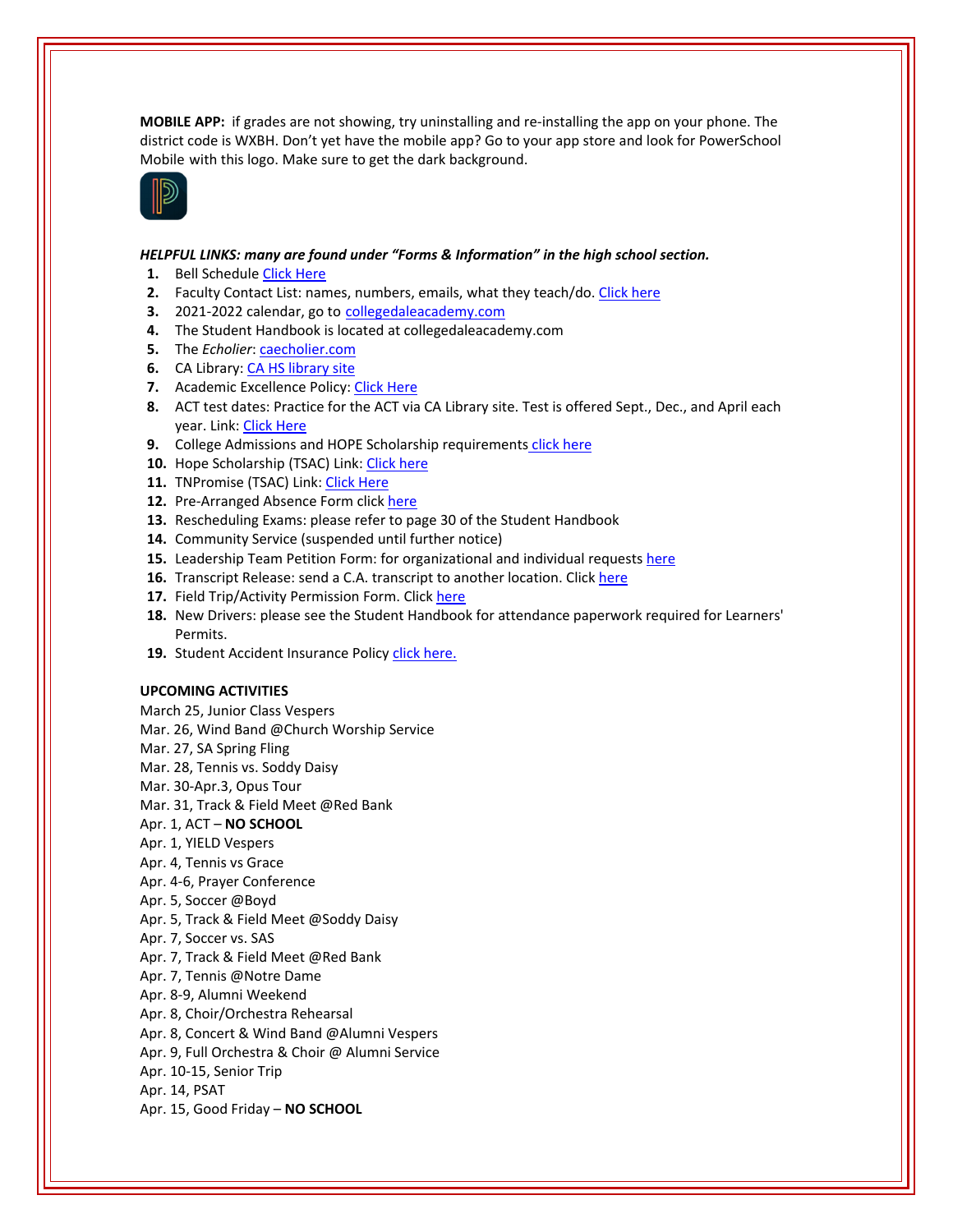**MOBILE APP:** if grades are not showing, try uninstalling and re‐installing the app on your phone. The district code is WXBH. Don't yet have the mobile app? Go to your app store and look for PowerSchool Mobile with this logo. Make sure to get the dark background.



## *HELPFUL LINKS: many are found under "Forms & Information" in the high school section.*

- 1. Bell Schedule Click [Here](https://www.collegedaleacademy.com/wp-content/uploads/2018/08/Bell-Schedule.pdf)
- **2.** Faculty Contact List: names, numbers, emails, what they teach/do. [Click](https://www.collegedaleacademy.com/wp-content/uploads/2021/08/faculty-only-2021-2022.pdf) here
- **3.** 2021‐2022 calendar, go to [collegedaleacademy.com](https://www.collegedaleacademy.com/calendars/)
- **4.** The Student Handbook is located at collegedaleacademy.com
- **5.** The *Echolier*: [caecholier.com](https://caecholier.com/)
- **6.** CA Library: CA HS [library](https://southernuniongcc.mlasolutions.com/m5/catalog/(S(vzus0ruksbh3euzcplwuxpmb))/default.aspx?installation=CDA) site
- **7.** Academic Excellence Policy: Click [Here](https://www.collegedaleacademy.com/wp-content/uploads/2018/08/Academic-Excellence-Policy.pdf)
- **8.** ACT test dates: Practice for the ACT via CA Library site. Test is offered Sept., Dec., and April each year. Link: Click [Here](https://www.act.org/)
- **9.** College Admissions and HOPE Scholarship requirements click [here](https://www.collegedaleacademy.com/wp-content/uploads/2019/08/TSAC-Scholarship-Info.pdf)
- **10.** Hope Scholarship (TSAC) Link: Click [here](https://www.tn.gov/collegepays/money-for-college/tn-education-lottery-programs/tennessee-hope-scholarship.html)
- 11. TNPromise (TSAC) Link: Click [Here](https://www.tn.gov/tnpromise.html)
- 12. Pre-Arranged Absence Form click [here](https://www.collegedaleacademy.com/wp-content/uploads/2016/11/Class-Absence-Request-Form-May-2017.pdf)
- **13.** Rescheduling Exams: please refer to page 30 of the Student Handbook
- **14.** Community Service (suspended until further notice)
- **15.** Leadership Team Petition Form: for organizational and individual requests [here](https://www.collegedaleacademy.com/wp-content/uploads/2019/08/Leadership-Petition-SSch.pdf)
- 16. Transcript Release: send a C.A. transcript to another location. Click [here](https://collegedaleacademy.wufoo.com/forms/q1bmc4gg10gftjs/)
- 17. Field Trip/Activity Permission Form. Click [here](https://www.collegedaleacademy.com/wp-content/uploads/2018/08/Field-Trip-form.pdf)
- **18.** New Drivers: please see the Student Handbook for attendance paperwork required for Learners' Permits.
- 19. Student Accident Insurance Policy click [here.](https://adventistrisk.org/en-us/insurance/nad/k-12-student-accident)

## **UPCOMING ACTIVITIES**

March 25, Junior Class Vespers Mar. 26, Wind Band @Church Worship Service Mar. 27, SA Spring Fling Mar. 28, Tennis vs. Soddy Daisy Mar. 30‐Apr.3, Opus Tour Mar. 31, Track & Field Meet @Red Bank Apr. 1, ACT – **NO SCHOOL** Apr. 1, YIELD Vespers Apr. 4, Tennis vs Grace Apr. 4‐6, Prayer Conference Apr. 5, Soccer @Boyd Apr. 5, Track & Field Meet @Soddy Daisy Apr. 7, Soccer vs. SAS Apr. 7, Track & Field Meet @Red Bank Apr. 7, Tennis @Notre Dame Apr. 8‐9, Alumni Weekend Apr. 8, Choir/Orchestra Rehearsal Apr. 8, Concert & Wind Band @Alumni Vespers Apr. 9, Full Orchestra & Choir @ Alumni Service Apr. 10‐15, Senior Trip Apr. 14, PSAT Apr. 15, Good Friday – **NO SCHOOL**